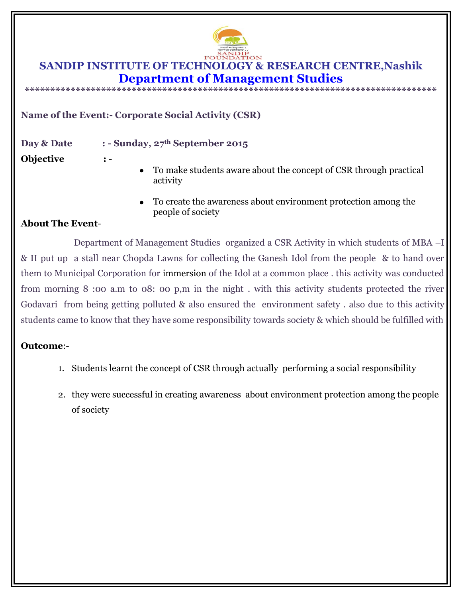

## **SANDIP INSTITUTE OF TECHNOLOGY & RESEARCH CENTRE,Nashik Department of Management Studies**

**\*\*\*\*\*\*\*\*\*\*\*\*\*\*\*\*\*\*\*\*\*\*\*\*\*\*\*\*\*\*\*\*\*\*\*\*\*\*\*\*\*\*\*\*\*\*\*\*\*\*\*\*\*\*\*\*\*\*\*\*\*\*\*\*\*\*\*\*\*\*\*\*\*\*\*\*\*\*\*\*\***

**Name of the Event:- Corporate Social Activity (CSR)**

**Day & Date : - Sunday, 27th September 2015**

**Objective :** -

- To make students aware about the concept of CSR through practical activity
- To create the awareness about environment protection among the people of society

## **About The Event**-

Department of Management Studies organized a CSR Activity in which students of MBA –I & II put up a stall near Chopda Lawns for collecting the Ganesh Idol from the people & to hand over them to Municipal Corporation for immersion of the Idol at a common place . this activity was conducted from morning 8 :00 a.m to 08: 00 p,m in the night . with this activity students protected the river Godavari from being getting polluted & also ensured the environment safety . also due to this activity students came to know that they have some responsibility towards society & which should be fulfilled with

## **Outcome**:-

- 1. Students learnt the concept of CSR through actually performing a social responsibility
- 2. they were successful in creating awareness about environment protection among the people of society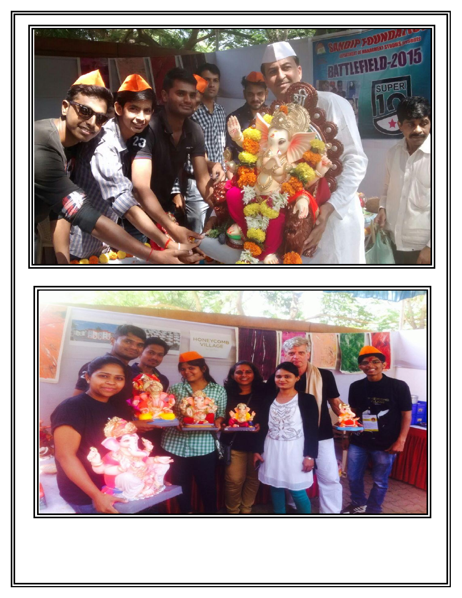